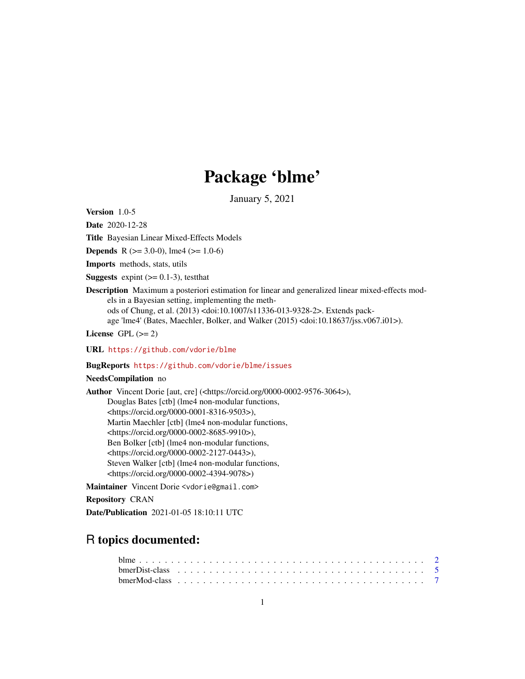## Package 'blme'

January 5, 2021

<span id="page-0-0"></span>Version 1.0-5

Date 2020-12-28

Title Bayesian Linear Mixed-Effects Models

**Depends** R ( $>= 3.0-0$ ), lme4 ( $>= 1.0-6$ )

Imports methods, stats, utils

**Suggests** expint  $(>= 0.1-3)$ , test that

Description Maximum a posteriori estimation for linear and generalized linear mixed-effects models in a Bayesian setting, implementing the methods of Chung, et al. (2013) <doi:10.1007/s11336-013-9328-2>. Extends package 'lme4' (Bates, Maechler, Bolker, and Walker (2015) <doi:10.18637/jss.v067.i01>).

License GPL  $(>= 2)$ 

URL <https://github.com/vdorie/blme>

#### BugReports <https://github.com/vdorie/blme/issues>

#### NeedsCompilation no

Author Vincent Dorie [aut, cre] (<https://orcid.org/0000-0002-9576-3064>), Douglas Bates [ctb] (lme4 non-modular functions, <https://orcid.org/0000-0001-8316-9503>), Martin Maechler [ctb] (lme4 non-modular functions, <https://orcid.org/0000-0002-8685-9910>), Ben Bolker [ctb] (lme4 non-modular functions, <https://orcid.org/0000-0002-2127-0443>), Steven Walker [ctb] (lme4 non-modular functions, <https://orcid.org/0000-0002-4394-9078>)

Maintainer Vincent Dorie <vdorie@gmail.com>

Repository CRAN

Date/Publication 2021-01-05 18:10:11 UTC

### R topics documented: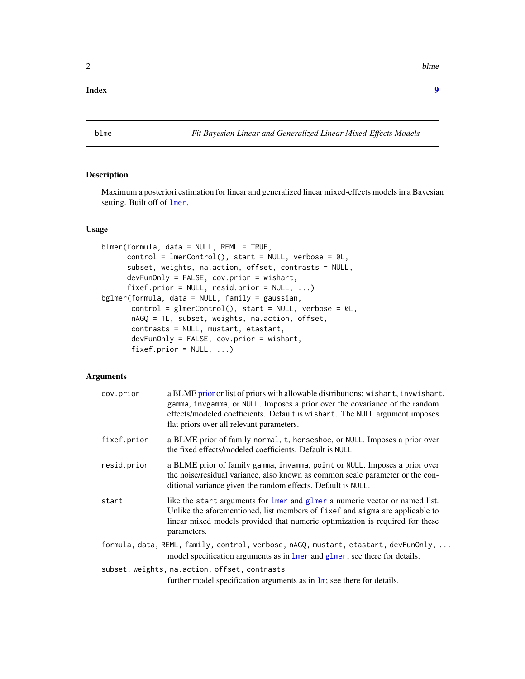#### <span id="page-1-0"></span>**Index** [9](#page-8-0)

blme *Fit Bayesian Linear and Generalized Linear Mixed-Effects Models*

#### <span id="page-1-1"></span>Description

Maximum a posteriori estimation for linear and generalized linear mixed-effects models in a Bayesian setting. Built off of [lmer](#page-0-0).

#### Usage

```
blmer(formula, data = NULL, REML = TRUE,
     control = lmerControl(), start = NULL, verbose = OL,
     subset, weights, na.action, offset, contrasts = NULL,
     devFunOnly = FALSE, cov.prior = wishart,
     fixef.prior = NULL, resid.prior = NULL, ...)
bglmer(formula, data = NULL, family = gaussian,
      control = glmerControl(), start = NULL, verbose = 0L,nAGQ = 1L, subset, weights, na.action, offset,
      contrasts = NULL, mustart, etastart,
      devFunOnly = FALSE, cov.prior = wishart,
      fixef.prior = NULL, ...
```
#### Arguments

| cov.prior   | a BLME prior or list of priors with allowable distributions: wishart, invwishart,<br>gamma, invgamma, or NULL. Imposes a prior over the covariance of the random<br>effects/modeled coefficients. Default is wishart. The NULL argument imposes<br>flat priors over all relevant parameters. |
|-------------|----------------------------------------------------------------------------------------------------------------------------------------------------------------------------------------------------------------------------------------------------------------------------------------------|
| fixef.prior | a BLME prior of family normal, t, horseshoe, or NULL. Imposes a prior over<br>the fixed effects/modeled coefficients. Default is NULL.                                                                                                                                                       |
| resid.prior | a BLME prior of family gamma, invamma, point or NULL. Imposes a prior over<br>the noise/residual variance, also known as common scale parameter or the con-<br>ditional variance given the random effects. Default is NULL.                                                                  |
| start       | like the start arguments for lmer and glmer a numeric vector or named list.<br>Unlike the aforementioned, list members of fixef and sigma are applicable to<br>linear mixed models provided that numeric optimization is required for these<br>parameters.                                   |
|             | formula, data, REML, family, control, verbose, nAGQ, mustart, etastart, devFunOnly,<br>model specification arguments as in lmer and glmer; see there for details.                                                                                                                            |
|             | subset, weights, na.action, offset, contrasts<br>further model specification arguments as in $\text{lm}$ ; see there for details.                                                                                                                                                            |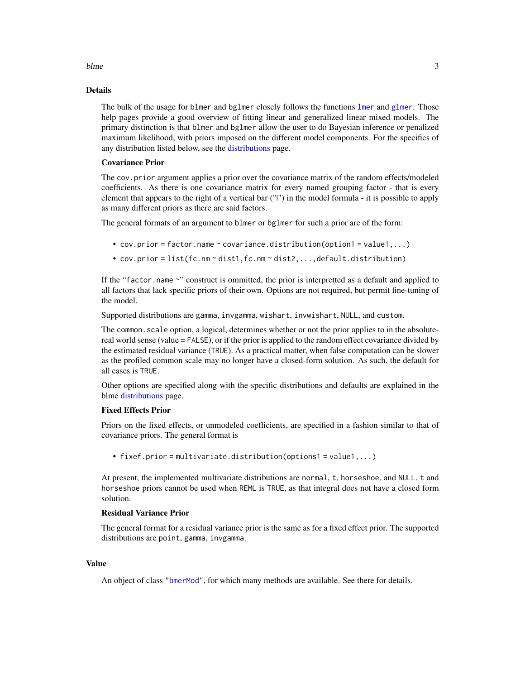#### <span id="page-2-0"></span>blme 3

#### Details

The bulk of the usage for blmer and bglmer closely follows the functions [lmer](#page-0-0) and [glmer](#page-0-0). Those help pages provide a good overview of fitting linear and generalized linear mixed models. The primary distinction is that blmer and bglmer allow the user to do Bayesian inference or penalized maximum likelihood, with priors imposed on the different model components. For the specifics of any distribution listed below, see the [distributions](#page-4-1) page.

#### Covariance Prior

The cov.prior argument applies a prior over the covariance matrix of the random effects/modeled coefficients. As there is one covariance matrix for every named grouping factor - that is every element that appears to the right of a vertical bar ("|") in the model formula - it is possible to apply as many different priors as there are said factors.

The general formats of an argument to blmer or bglmer for such a prior are of the form:

- cov.prior = factor.name  $\sim$  covariance.distribution(option1 = value1,...)
- cov.prior = list(fc.nm ~ dist1,fc.nm ~ dist2,...,default.distribution)

If the "factor.name ~" construct is ommitted, the prior is interpretted as a default and applied to all factors that lack specific priors of their own. Options are not required, but permit fine-tuning of the model.

Supported distributions are gamma, invgamma, wishart, invwishart, NULL, and custom.

The common. scale option, a logical, determines whether or not the prior applies to in the absolutereal world sense (value = FALSE), or if the prior is applied to the random effect covariance divided by the estimated residual variance (TRUE). As a practical matter, when false computation can be slower as the profiled common scale may no longer have a closed-form solution. As such, the default for all cases is TRUE.

Other options are specified along with the specific distributions and defaults are explained in the blme [distributions](#page-4-1) page.

#### Fixed Effects Prior

Priors on the fixed effects, or unmodeled coefficients, are specified in a fashion similar to that of covariance priors. The general format is

• fixef.prior = multivariate.distribution(options1 = value1,...)

At present, the implemented multivariate distributions are normal, t, horseshoe, and NULL. t and horseshoe priors cannot be used when REML is TRUE, as that integral does not have a closed form solution.

#### Residual Variance Prior

The general format for a residual variance prior is the same as for a fixed effect prior. The supported distributions are point, gamma, invgamma.

#### Value

An object of class ["bmerMod"](#page-6-1), for which many methods are available. See there for details.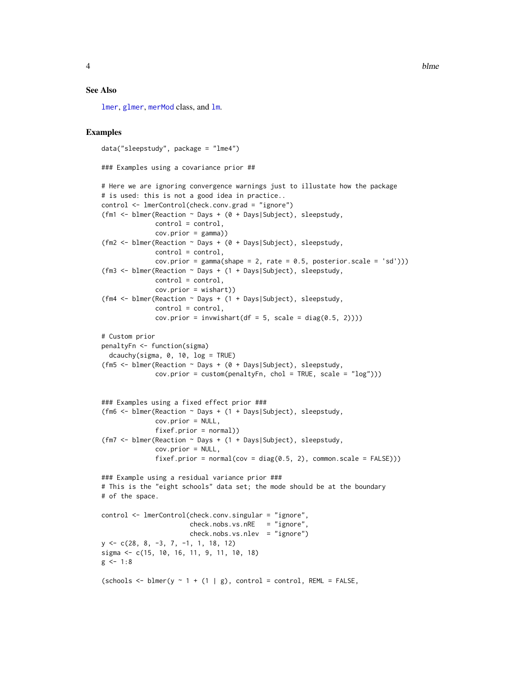#### <span id="page-3-0"></span>See Also

[lmer](#page-0-0), [glmer](#page-0-0), [merMod](#page-0-0) class, and [lm](#page-0-0).

#### Examples

```
data("sleepstudy", package = "lme4")
### Examples using a covariance prior ##
# Here we are ignoring convergence warnings just to illustate how the package
# is used: this is not a good idea in practice..
control <- lmerControl(check.conv.grad = "ignore")
(fm1 <- blmer(Reaction ~ Days + (0 + Days|Subject), sleepstudy,
              control = control,
              cov.prior = gamma))
(fm2 <- blmer(Reaction ~ Days + (0 + Days|Subject), sleepstudy,
              control = control,
              cov.prior = gamma(shape = 2, rate = 0.5, posterior.scale = 'sd'))(fm3 <- blmer(Reaction ~ Days + (1 + Days|Subject), sleepstudy,
              control = control,
              cov.prior = wishart))
(fm4 <- blmer(Reaction ~ Days + (1 + Days|Subject), sleepstudy,
              control = control,
              cov.prior = inw wishart(df = 5, scale = diag(0.5, 2))))# Custom prior
penaltyFn <- function(sigma)
  dcauchy(sigma, \theta, 10, \log = TRUE)
(fm5 <- blmer(Reaction ~ Days + (0 + Days|Subject), sleepstudy,
              cov.prior = custom(penaltyFn, chol = TRUE, scale = "log")))
### Examples using a fixed effect prior ###
(fm6 <- blmer(Reaction ~ Days + (1 + Days|Subject), sleepstudy,
              cov.prior = NULL,
              fixef.prior = normal))
(fm7 <- blmer(Reaction ~ Days + (1 + Days|Subject), sleepstudy,
              cov.prior = NULL,
              fixef.prior = normal(cov = diag(0.5, 2), common.scale = FALSE)))
### Example using a residual variance prior ###
# This is the "eight schools" data set; the mode should be at the boundary
# of the space.
control <- lmerControl(check.conv.singular = "ignore",
                       check.nobs.vs.nRE = "ignore",check.nobs.vs.nlev = "ignore")
y <- c(28, 8, -3, 7, -1, 1, 18, 12)
sigma <- c(15, 10, 16, 11, 9, 11, 10, 18)
g \le -1:8(schools \leq blmer(y \sim 1 + (1 | g), control = control, REML = FALSE,
```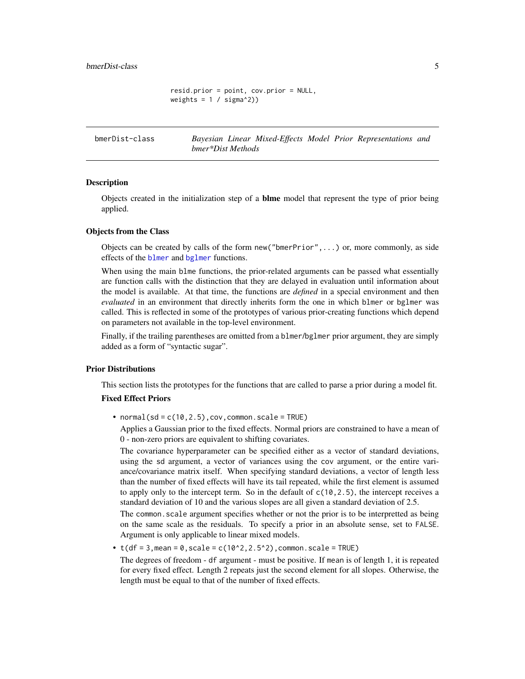```
resid.prior = point, cov.prior = NULL,
weights = 1 / signa^2)
```
<span id="page-4-1"></span>

<span id="page-4-0"></span>bmerDist-class *Bayesian Linear Mixed-Effects Model Prior Representations and bmer\*Dist Methods*

#### Description

Objects created in the initialization step of a blme model that represent the type of prior being applied.

#### Objects from the Class

Objects can be created by calls of the form new("bmerPrior",...) or, more commonly, as side effects of the [blmer](#page-1-1) and [bglmer](#page-1-1) functions.

When using the main blme functions, the prior-related arguments can be passed what essentially are function calls with the distinction that they are delayed in evaluation until information about the model is available. At that time, the functions are *defined* in a special environment and then *evaluated* in an environment that directly inherits form the one in which blmer or bglmer was called. This is reflected in some of the prototypes of various prior-creating functions which depend on parameters not available in the top-level environment.

Finally, if the trailing parentheses are omitted from a blmer/bglmer prior argument, they are simply added as a form of "syntactic sugar".

#### Prior Distributions

This section lists the prototypes for the functions that are called to parse a prior during a model fit.

#### Fixed Effect Priors

• normal(sd =  $c(10, 2.5)$ , cov, common.scale = TRUE)

Applies a Gaussian prior to the fixed effects. Normal priors are constrained to have a mean of 0 - non-zero priors are equivalent to shifting covariates.

The covariance hyperparameter can be specified either as a vector of standard deviations, using the sd argument, a vector of variances using the cov argument, or the entire variance/covariance matrix itself. When specifying standard deviations, a vector of length less than the number of fixed effects will have its tail repeated, while the first element is assumed to apply only to the intercept term. So in the default of  $c(10, 2.5)$ , the intercept receives a standard deviation of 10 and the various slopes are all given a standard deviation of 2.5.

The common.scale argument specifies whether or not the prior is to be interpretted as being on the same scale as the residuals. To specify a prior in an absolute sense, set to FALSE. Argument is only applicable to linear mixed models.

•  $t(df = 3, \text{mean} = 0, \text{scale} = c(10^2, 2.5^2), \text{common}.\text{scale} = \text{TRUE})$ 

The degrees of freedom - df argument - must be positive. If mean is of length 1, it is repeated for every fixed effect. Length 2 repeats just the second element for all slopes. Otherwise, the length must be equal to that of the number of fixed effects.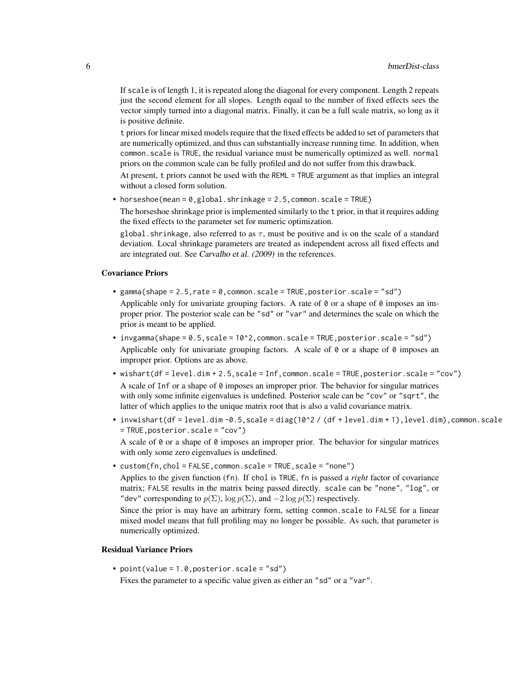If scale is of length 1, it is repeated along the diagonal for every component. Length 2 repeats just the second element for all slopes. Length equal to the number of fixed effects sees the vector simply turned into a diagonal matrix. Finally, it can be a full scale matrix, so long as it is positive definite.

t priors for linear mixed models require that the fixed effects be added to set of parameters that are numerically optimized, and thus can substantially increase running time. In addition, when common.scale is TRUE, the residual variance must be numerically optimized as well. normal priors on the common scale can be fully profiled and do not suffer from this drawback.

At present, t priors cannot be used with the REML = TRUE argument as that implies an integral without a closed form solution.

• horseshoe(mean = 0,global.shrinkage = 2.5,common.scale = TRUE)

The horseshoe shrinkage prior is implemented similarly to the t prior, in that it requires adding the fixed effects to the parameter set for numeric optimization.

global. shrinkage, also referred to as  $\tau$ , must be positive and is on the scale of a standard deviation. Local shrinkage parameters are treated as independent across all fixed effects and are integrated out. See Carvalho et al. (2009) in the references.

#### Covariance Priors

- gamma(shape =  $2.5$ , rate =  $0$ , common.scale = TRUE, posterior.scale = "sd") Applicable only for univariate grouping factors. A rate of  $\theta$  or a shape of  $\theta$  imposes an improper prior. The posterior scale can be "sd" or "var" and determines the scale on which the prior is meant to be applied.
- $invgamma(s)$ hape = 0.5,scale = 10^2,common.scale = TRUE,posterior.scale = "sd") Applicable only for univariate grouping factors. A scale of 0 or a shape of 0 imposes an improper prior. Options are as above.
- wishart(df = level.dim + 2.5,scale = Inf,common.scale = TRUE,posterior.scale = "cov") A scale of Inf or a shape of 0 imposes an improper prior. The behavior for singular matrices with only some infinite eigenvalues is undefined. Posterior scale can be "cov" or "sqrt", the latter of which applies to the unique matrix root that is also a valid covariance matrix.
- invwishart(df = level.dim -0.5,scale = diag(10^2 / (df + level.dim + 1), level.dim), common.scale = TRUE,posterior.scale = "cov")

A scale of  $\theta$  or a shape of  $\theta$  imposes an improper prior. The behavior for singular matrices with only some zero eigenvalues is undefined.

• custom(fn,chol = FALSE,common.scale = TRUE,scale = "none")

Applies to the given function (fn). If chol is TRUE, fn is passed a *right* factor of covariance matrix; FALSE results in the matrix being passed directly. scale can be "none", "log", or "dev" corresponding to  $p(\Sigma)$ ,  $\log p(\Sigma)$ , and  $-2 \log p(\Sigma)$  respectively.

Since the prior is may have an arbitrary form, setting common.scale to FALSE for a linear mixed model means that full profiling may no longer be possible. As such, that parameter is numerically optimized.

#### Residual Variance Priors

• point(value = 1.0,posterior.scale = "sd") Fixes the parameter to a specific value given as either an "sd" or a "var".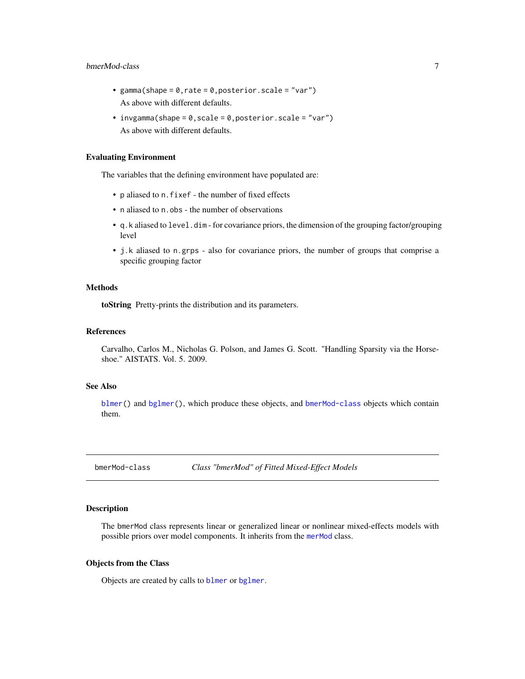#### <span id="page-6-0"></span>bmerMod-class 7

- gamma(shape =  $0,$ rate =  $0,$ posterior.scale = "var") As above with different defaults.
- invgamma(shape = 0, scale = 0, posterior.scale = "var") As above with different defaults.

#### Evaluating Environment

The variables that the defining environment have populated are:

- p aliased to n.fixef the number of fixed effects
- n aliased to n.obs the number of observations
- q.k aliased to level.dim for covariance priors, the dimension of the grouping factor/grouping level
- j.k aliased to n.grps also for covariance priors, the number of groups that comprise a specific grouping factor

#### Methods

toString Pretty-prints the distribution and its parameters.

#### References

Carvalho, Carlos M., Nicholas G. Polson, and James G. Scott. "Handling Sparsity via the Horseshoe." AISTATS. Vol. 5. 2009.

### See Also

[blmer\(](#page-1-1)) and [bglmer\(](#page-1-1)), which produce these objects, and [bmerMod-class](#page-6-1) objects which contain them.

<span id="page-6-1"></span>bmerMod-class *Class "bmerMod" of Fitted Mixed-Effect Models*

#### Description

The bmerMod class represents linear or generalized linear or nonlinear mixed-effects models with possible priors over model components. It inherits from the [merMod](#page-0-0) class.

#### Objects from the Class

Objects are created by calls to [blmer](#page-1-1) or [bglmer](#page-1-1).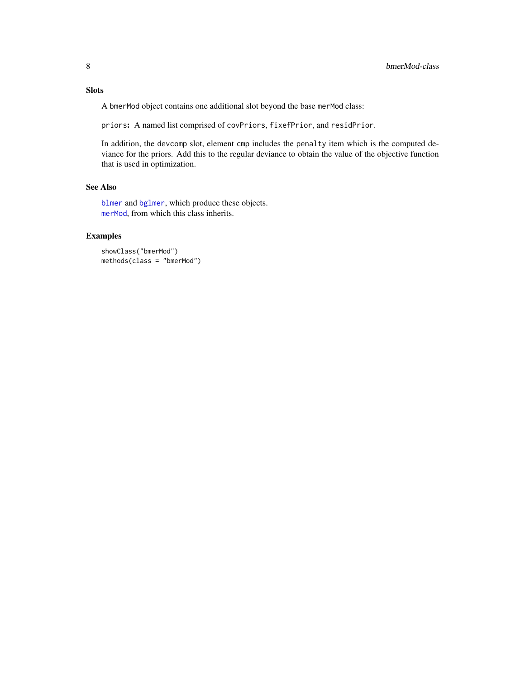### <span id="page-7-0"></span>Slots

A bmerMod object contains one additional slot beyond the base merMod class:

priors: A named list comprised of covPriors, fixefPrior, and residPrior.

In addition, the devcomp slot, element cmp includes the penalty item which is the computed deviance for the priors. Add this to the regular deviance to obtain the value of the objective function that is used in optimization.

#### See Also

[blmer](#page-1-1) and [bglmer](#page-1-1), which produce these objects. [merMod](#page-0-0), from which this class inherits.

#### Examples

```
showClass("bmerMod")
methods(class = "bmerMod")
```